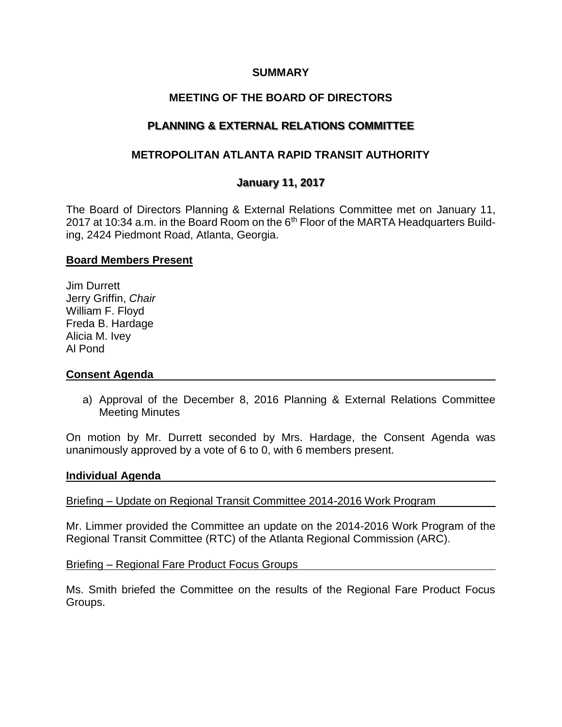### **SUMMARY**

# **MEETING OF THE BOARD OF DIRECTORS**

# **PLANNING & EXTERNAL RELATIONS COMMITTEE**

## **METROPOLITAN ATLANTA RAPID TRANSIT AUTHORITY**

## **January 11, 2017**

The Board of Directors Planning & External Relations Committee met on January 11, 2017 at 10:34 a.m. in the Board Room on the 6<sup>th</sup> Floor of the MARTA Headquarters Building, 2424 Piedmont Road, Atlanta, Georgia.

### **Board Members Present**

Jim Durrett Jerry Griffin, *Chair* William F. Floyd Freda B. Hardage Alicia M. Ivey Al Pond

### **Consent Agenda**

a) Approval of the December 8, 2016 Planning & External Relations Committee Meeting Minutes

On motion by Mr. Durrett seconded by Mrs. Hardage, the Consent Agenda was unanimously approved by a vote of 6 to 0, with 6 members present.

#### **Individual Agenda**

Briefing – Update on Regional Transit Committee 2014-2016 Work Program

Mr. Limmer provided the Committee an update on the 2014-2016 Work Program of the Regional Transit Committee (RTC) of the Atlanta Regional Commission (ARC).

Briefing – Regional Fare Product Focus Groups

Ms. Smith briefed the Committee on the results of the Regional Fare Product Focus Groups.